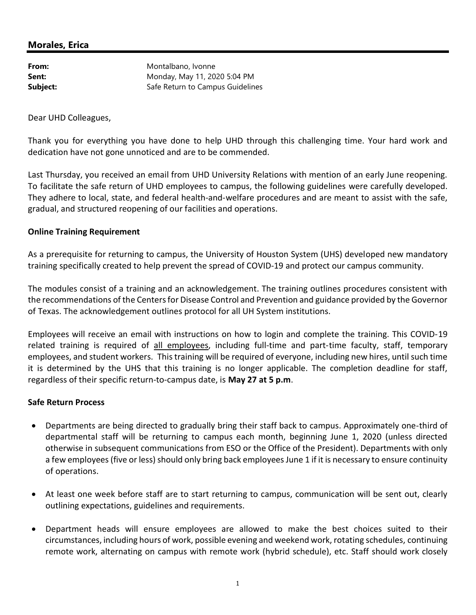### Morales, Erica

| From:    |  |
|----------|--|
| Sent:    |  |
| Subject: |  |

Montalbano, Ivonne Monday, May 11, 2020 5:04 PM Safe Return to Campus Guidelines

Dear UHD Colleagues,

Thank you for everything you have done to help UHD through this challenging time. Your hard work and dedication have not gone unnoticed and are to be commended.

Last Thursday, you received an email from UHD University Relations with mention of an early June reopening. To facilitate the safe return of UHD employees to campus, the following guidelines were carefully developed. They adhere to local, state, and federal health-and-welfare procedures and are meant to assist with the safe, gradual, and structured reopening of our facilities and operations.

### Online Training Requirement

As a prerequisite for returning to campus, the University of Houston System (UHS) developed new mandatory training specifically created to help prevent the spread of COVID-19 and protect our campus community.

The modules consist of a training and an acknowledgement. The training outlines procedures consistent with the recommendations of the Centers for Disease Control and Prevention and guidance provided by the Governor of Texas. The acknowledgement outlines protocol for all UH System institutions.

Employees will receive an email with instructions on how to login and complete the training. This COVID-19 related training is required of all employees, including full-time and part-time faculty, staff, temporary employees, and student workers. This training will be required of everyone, including new hires, until such time it is determined by the UHS that this training is no longer applicable. The completion deadline for staff, regardless of their specific return-to-campus date, is May 27 at 5 p.m.

#### Safe Return Process

- Departments are being directed to gradually bring their staff back to campus. Approximately one-third of departmental staff will be returning to campus each month, beginning June 1, 2020 (unless directed otherwise in subsequent communications from ESO or the Office of the President). Departments with only a few employees (five or less) should only bring back employees June 1 if it is necessary to ensure continuity of operations.
- At least one week before staff are to start returning to campus, communication will be sent out, clearly outlining expectations, guidelines and requirements.
- Department heads will ensure employees are allowed to make the best choices suited to their circumstances, including hours of work, possible evening and weekend work, rotating schedules, continuing remote work, alternating on campus with remote work (hybrid schedule), etc. Staff should work closely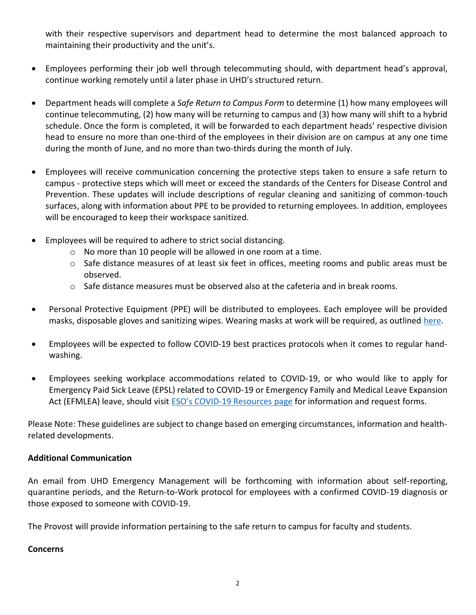with their respective supervisors and department head to determine the most balanced approach to maintaining their productivity and the unit's.

- Employees performing their job well through telecommuting should, with department head's approval, continue working remotely until a later phase in UHD's structured return.
- Department heads will complete a Safe Return to Campus Form to determine (1) how many employees will continue telecommuting, (2) how many will be returning to campus and (3) how many will shift to a hybrid schedule. Once the form is completed, it will be forwarded to each department heads' respective division head to ensure no more than one-third of the employees in their division are on campus at any one time during the month of June, and no more than two-thirds during the month of July.
- Employees will receive communication concerning the protective steps taken to ensure a safe return to campus - protective steps which will meet or exceed the standards of the Centers for Disease Control and Prevention. These updates will include descriptions of regular cleaning and sanitizing of common-touch surfaces, along with information about PPE to be provided to returning employees. In addition, employees will be encouraged to keep their workspace sanitized.
- Employees will be required to adhere to strict social distancing.
	- o No more than 10 people will be allowed in one room at a time.
	- o Safe distance measures of at least six feet in offices, meeting rooms and public areas must be observed.
	- o Safe distance measures must be observed also at the cafeteria and in break rooms.
- Personal Protective Equipment (PPE) will be distributed to employees. Each employee will be provided masks, disposable gloves and sanitizing wipes. Wearing masks at work will be required, as outlined here.
- Employees will be expected to follow COVID-19 best practices protocols when it comes to regular handwashing.
- Employees seeking workplace accommodations related to COVID-19, or who would like to apply for Emergency Paid Sick Leave (EPSL) related to COVID-19 or Emergency Family and Medical Leave Expansion Act (EFMLEA) leave, should visit ESO's COVID-19 Resources page for information and request forms.

Please Note: These guidelines are subject to change based on emerging circumstances, information and healthrelated developments.

# Additional Communication

An email from UHD Emergency Management will be forthcoming with information about self-reporting, quarantine periods, and the Return-to-Work protocol for employees with a confirmed COVID-19 diagnosis or those exposed to someone with COVID-19.

The Provost will provide information pertaining to the safe return to campus for faculty and students.

# **Concerns**